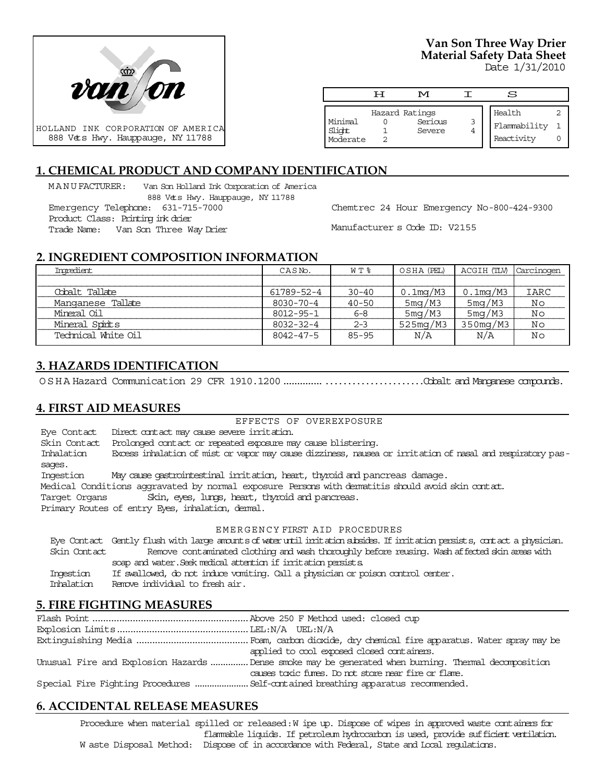

# **Van Son Three Way Drier Material Safety Data Sheet**

Date 1/31/2010

|                               | H | M                                   | S                                    |  |
|-------------------------------|---|-------------------------------------|--------------------------------------|--|
| Minimal<br>Slight<br>Moderate |   | Hazard Ratings<br>Serious<br>Severe | Health<br>Flammability<br>Reactivity |  |

## **1. CHEMICAL PRODUCT AND COMPANY IDENTIFICATION**

MANUFACTURER: Van Son Holland Ink Corporation of America 888 Vets Hwy. Hauppauge, NY 11788

Emergency Telephone: 631-715-7000 Product Class: Printing ink drier

Trade Name: Van Son Three Way Drier

Chemtrec 24 Hour Emergency No-800-424-9300

Manufacturer s Code ID: V2155

## **2. INGREDIENT COMPOSITION INFORMATION**

| Ingredient          | CASN <sub>o</sub> . | W T %     | OSHA (PEL)  | ACGIH (TLV) | Carcinogen |
|---------------------|---------------------|-----------|-------------|-------------|------------|
|                     |                     |           |             |             |            |
| Cobalt Tallate      | 61789-52-4          | $30 - 40$ | $0.1$ mg/M3 | $0.1$ mg/M3 | IARC       |
| Manganese Tallate   | 8030-70-4           | $40 - 50$ | 5mg/M3      | 5mg/M3      | Νo         |
| Mineral Oil         | 8012-95-1           | $6 - 8$   | 5mg/M3      | 5mg/M3      | Νo         |
| Mineral Spinits     | $8032 - 32 - 4$     | $2 - 3$   | 525mg/M3    | $350$ mg/M3 | Νo         |
| Technical White Oil | 8042-47-5           | $85 - 95$ | N/A         | N/A         | Νo         |

## **3. HAZARDS IDENTIFICATION**

OSHA Hazard Communication 29 CFR 1910.1200....................................Cobalt and Manganese compounds.

## **4. FIRST AID MEASURES**

#### EFFECTS OF OVEREXPOSURE

Eye Contact Direct contact may cause severe irritation. Skin Contact Prolonged contact or repeated exposure may cause blistering. Inhalation Excess inhalation of mist or vapor may cause dizziness, nausea or irritation of nasal and respiratory passages. Ingestion May cause gastrointestinal irritation, heart, thyroid and pancreas damage. Medical Conditions aggravated by normal exposure Persons with dermatitis should avoid skin contact. Target Organs Skin, eyes, lungs, heart, thyroid and pancreas. Primary Routes of entry Eyes, inhalation, dermal. EMERGENCY FIRST AID PROCEDURES Eye Contact Gently flush with large amounts of water until irritation subsides. If irritation persists, contact a physician.

 Skin Contact Remove contaminated clothing and wash thoroughly before reusing. Wash affected skin areas with soap and water. Seek medical attention if irritation persists. Ingestion If swallowed, do not induce vomiting. Call a physician or poison control center. Inhalation Remove individual to fresh air.

## **5. FIRE FIGHTING MEASURES**

| applied to cool exposed closed containers.                                                          |
|-----------------------------------------------------------------------------------------------------|
| Unusual Fire and Explosion Hazards Dense smoke may be generated when burning. Thermal decomposition |
| causes toxic fures. Do not store near fire or flare.                                                |
|                                                                                                     |

## **6. ACCIDENTAL RELEASE MEASURES**

Procedure when material spilled or released: W ipe up. Dispose of wipes in approved waste containers for flammable liquids. If petroleum hydrocarbon is used, provide sufficient ventilation. W aste Disposal Method: Dispose of in accordance with Federal, State and Local regulations.